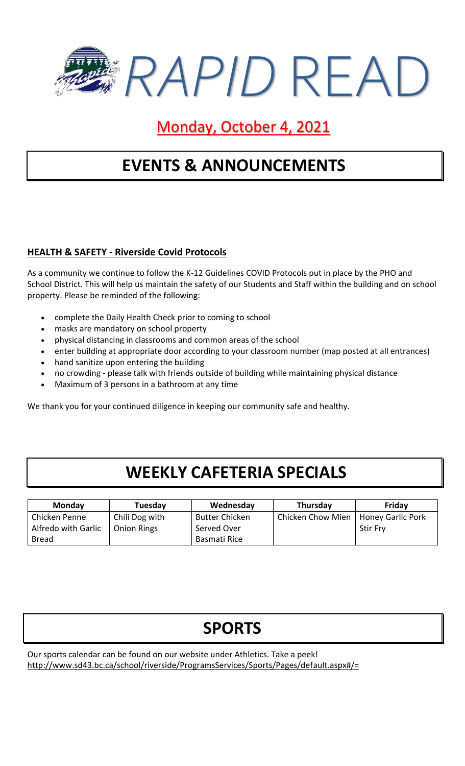

Monday, October 4, 2021

## **EVENTS & ANNOUNCEMENTS**

#### **HEALTH & SAFETY - Riverside Covid Protocols**

As a community we continue to follow the K-12 Guidelines COVID Protocols put in place by the PHO and School District. This will help us maintain the safety of our Students and Staff within the building and on school property. Please be reminded of the following:

- complete the Daily Health Check prior to coming to school
- masks are mandatory on school property
- physical distancing in classrooms and common areas of the school
- enter building at appropriate door according to your classroom number (map posted at all entrances)
- hand sanitize upon entering the building
- no crowding please talk with friends outside of building while maintaining physical distance
- Maximum of 3 persons in a bathroom at any time

We thank you for your continued diligence in keeping our community safe and healthy.

### **WEEKLY CAFETERIA SPECIALS**

| <b>Monday</b>       | Tuesday            | Wednesday             | Thursday          | Friday            |
|---------------------|--------------------|-----------------------|-------------------|-------------------|
| Chicken Penne       | Chili Dog with     | <b>Butter Chicken</b> | Chicken Chow Mien | Honey Garlic Pork |
| Alfredo with Garlic | <b>Onion Rings</b> | Served Over           |                   | <b>Stir Fry</b>   |
| <b>Bread</b>        |                    | Basmati Rice          |                   |                   |

| <b>SPORTS</b> |
|---------------|
|---------------|

Our sports calendar can be found on our website under Athletics. Take a peek! http://www.sd43.bc.ca/school/riverside/ProgramsServices/Sports/Pages/default.aspx#/=